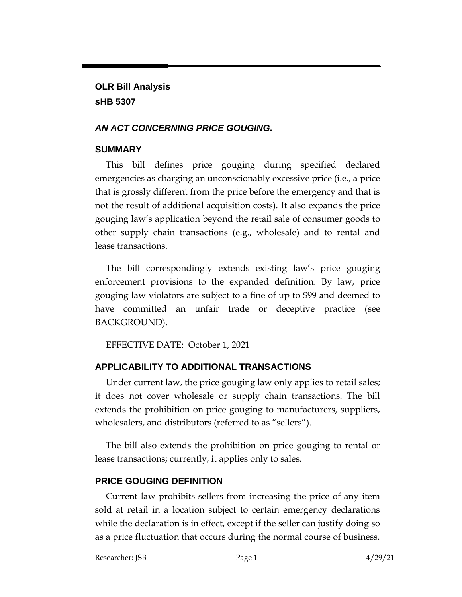**OLR Bill Analysis sHB 5307**

#### *AN ACT CONCERNING PRICE GOUGING.*

#### **SUMMARY**

This bill defines price gouging during specified declared emergencies as charging an unconscionably excessive price (i.e., a price that is grossly different from the price before the emergency and that is not the result of additional acquisition costs). It also expands the price gouging law's application beyond the retail sale of consumer goods to other supply chain transactions (e.g., wholesale) and to rental and lease transactions.

The bill correspondingly extends existing law's price gouging enforcement provisions to the expanded definition. By law, price gouging law violators are subject to a fine of up to \$99 and deemed to have committed an unfair trade or deceptive practice (see BACKGROUND).

EFFECTIVE DATE: October 1, 2021

# **APPLICABILITY TO ADDITIONAL TRANSACTIONS**

Under current law, the price gouging law only applies to retail sales; it does not cover wholesale or supply chain transactions. The bill extends the prohibition on price gouging to manufacturers, suppliers, wholesalers, and distributors (referred to as "sellers").

The bill also extends the prohibition on price gouging to rental or lease transactions; currently, it applies only to sales.

#### **PRICE GOUGING DEFINITION**

Current law prohibits sellers from increasing the price of any item sold at retail in a location subject to certain emergency declarations while the declaration is in effect, except if the seller can justify doing so as a price fluctuation that occurs during the normal course of business.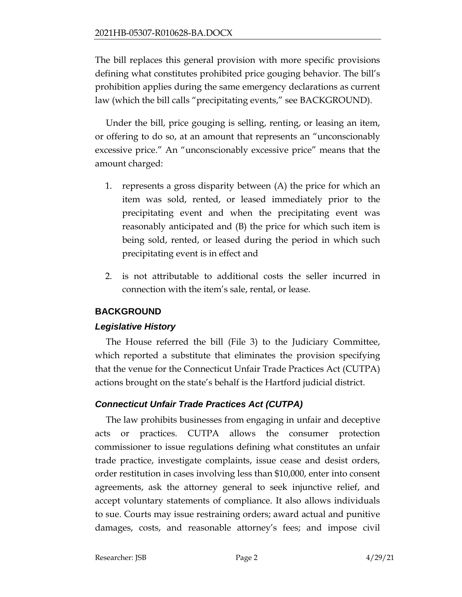The bill replaces this general provision with more specific provisions defining what constitutes prohibited price gouging behavior. The bill's prohibition applies during the same emergency declarations as current law (which the bill calls "precipitating events," see BACKGROUND).

Under the bill, price gouging is selling, renting, or leasing an item, or offering to do so, at an amount that represents an "unconscionably excessive price." An "unconscionably excessive price" means that the amount charged:

- 1. represents a gross disparity between (A) the price for which an item was sold, rented, or leased immediately prior to the precipitating event and when the precipitating event was reasonably anticipated and (B) the price for which such item is being sold, rented, or leased during the period in which such precipitating event is in effect and
- 2. is not attributable to additional costs the seller incurred in connection with the item's sale, rental, or lease.

# **BACKGROUND**

# *Legislative History*

The House referred the bill (File 3) to the Judiciary Committee, which reported a substitute that eliminates the provision specifying that the venue for the Connecticut Unfair Trade Practices Act (CUTPA) actions brought on the state's behalf is the Hartford judicial district.

# *Connecticut Unfair Trade Practices Act (CUTPA)*

The law prohibits businesses from engaging in unfair and deceptive acts or practices. CUTPA allows the consumer protection commissioner to issue regulations defining what constitutes an unfair trade practice, investigate complaints, issue cease and desist orders, order restitution in cases involving less than \$10,000, enter into consent agreements, ask the attorney general to seek injunctive relief, and accept voluntary statements of compliance. It also allows individuals to sue. Courts may issue restraining orders; award actual and punitive damages, costs, and reasonable attorney's fees; and impose civil